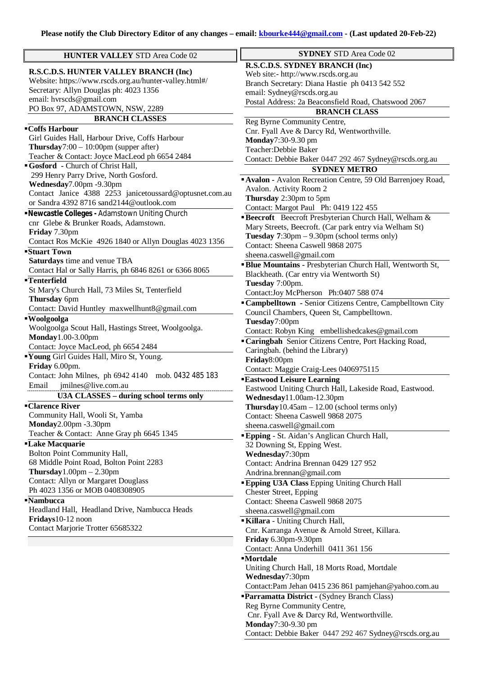| <b>HUNTER VALLEY STD Area Code 02</b>                   | <b>SYDNEY STD Area Code 02</b>                                  |
|---------------------------------------------------------|-----------------------------------------------------------------|
|                                                         | R.S.C.D.S. SYDNEY BRANCH (Inc)                                  |
| R.S.C.D.S. HUNTER VALLEY BRANCH (Inc)                   | Web site:- http://www.rscds.org.au                              |
| Website: https://www.rscds.org.au/hunter-valley.html#/  | Branch Secretary: Diana Hastie ph 0413 542 552                  |
| Secretary: Allyn Douglas ph: 4023 1356                  | email: Sydney@rscds.org.au                                      |
| email: hvrscds@gmail.com                                | Postal Address: 2a Beaconsfield Road, Chatswood 2067            |
| PO Box 97, ADAMSTOWN, NSW, 2289                         | <b>BRANCH CLASS</b>                                             |
| <b>BRANCH CLASSES</b>                                   | Reg Byrne Community Centre,                                     |
| $\overline{\mathrm{C}}$ offs Harbour                    | Cnr. Fyall Ave & Darcy Rd, Wentworthville.                      |
| Girl Guides Hall, Harbour Drive, Coffs Harbour          | Monday7:30-9.30 pm                                              |
| <b>Thursday</b> 7:00 - 10:00pm (supper after)           | Teacher: Debbie Baker                                           |
| Teacher & Contact: Joyce MacLeod ph 6654 2484           | Contact: Debbie Baker 0447 292 467 Sydney@rscds.org.au          |
| Gosford - Church of Christ Hall,                        | <b>SYDNEY METRO</b>                                             |
| 299 Henry Parry Drive, North Gosford.                   | Avalon - Avalon Recreation Centre, 59 Old Barrenjoey Road,      |
| Wednesday7.00pm -9.30pm                                 | Avalon. Activity Room 2                                         |
| Contact Janice 4388 2253 janicetoussard@optusnet.com.au | Thursday 2:30pm to 5pm                                          |
| or Sandra 4392 8716 sand2144@outlook.com                |                                                                 |
| Newcastle Colleges - Adamstown Uniting Church           | Contact: Margot Paul Ph: 0419 122 455                           |
| cnr Glebe & Brunker Roads, Adamstown.                   | <b>Beecroft</b> Beecroft Presbyterian Church Hall, Welham &     |
| Friday 7.30pm                                           | Mary Streets, Beecroft. (Car park entry via Welham St)          |
| Contact Ros McKie 4926 1840 or Allyn Douglas 4023 1356  | Tuesday $7:30 \text{pm} - 9.30 \text{pm}$ (school terms only)   |
| Stuart Town                                             | Contact: Sheena Caswell 9868 2075                               |
| Saturdays time and venue TBA                            | sheena.caswell@gmail.com                                        |
| Contact Hal or Sally Harris, ph 6846 8261 or 6366 8065  | <b>Blue Mountains - Presbyterian Church Hall, Wentworth St,</b> |
| <b>Tenterfield</b>                                      | Blackheath. (Car entry via Wentworth St)                        |
| St Mary's Church Hall, 73 Miles St, Tenterfield         | Tuesday 7:00pm.                                                 |
| Thursday 6pm                                            | Contact:Joy McPherson Ph:0407 588 074                           |
| Contact: David Huntley maxwellhunt8@gmail.com           | "Campbelltown - Senior Citizens Centre, Campbelltown City       |
|                                                         | Council Chambers, Queen St, Campbelltown.                       |
| ■ Woolgoolga                                            | Tuesday7:00pm                                                   |
| Woolgoolga Scout Hall, Hastings Street, Woolgoolga.     | Contact: Robyn King embellishedcakes@gmail.com                  |
| Monday1.00-3.00pm                                       | "Caringbah Senior Citizens Centre, Port Hacking Road,           |
| Contact: Joyce MacLeod, ph 6654 2484                    | Caringbah. (behind the Library)                                 |
| Voung Girl Guides Hall, Miro St, Young.                 | Friday8:00pm                                                    |
| Friday 6.00pm.                                          | Contact: Maggie Craig-Lees 0406975115                           |
| Contact: John Milnes, ph 6942 4140 mob. 0432 485 183    | <b>Eastwood Leisure Learning</b>                                |
| jmilnes@live.com.au<br>Email                            | Eastwood Uniting Church Hall, Lakeside Road, Eastwood.          |
| <b>U3A CLASSES - during school terms only</b>           | Wednesday11.00am-12.30pm                                        |
| <b>Clarence River</b>                                   | Thursday $10.45$ am $-12.00$ (school terms only)                |
| Community Hall, Wooli St, Yamba                         | Contact: Sheena Caswell 9868 2075                               |
| Monday2.00pm -3.30pm                                    | sheena.caswell@gmail.com                                        |
| Teacher & Contact: Anne Gray ph 6645 1345               | <b>Epping</b> - St. Aidan's Anglican Church Hall,               |
| <b>Lake Macquarie</b>                                   | 32 Downing St, Epping West.                                     |
| Bolton Point Community Hall,                            | Wednesday7:30pm                                                 |
| 68 Middle Point Road, Bolton Point 2283                 | Contact: Andrina Brennan 0429 127 952                           |
| Thursday $1.00 \text{pm} - 2.30 \text{pm}$              | Andrina.brennan@gmail.com                                       |
| <b>Contact: Allyn or Margaret Douglass</b>              | <b>Epping U3A Class Epping Uniting Church Hall</b>              |
| Ph 4023 1356 or MOB 0408308905                          | Chester Street, Epping                                          |
| <b>Nambucca</b>                                         | Contact: Sheena Caswell 9868 2075                               |
| Headland Hall, Headland Drive, Nambucca Heads           | sheena.caswell@gmail.com                                        |
| Fridays10-12 noon                                       | Killara - Uniting Church Hall,                                  |
| Contact Marjorie Trotter 65685322                       | Cnr. Karranga Avenue & Arnold Street, Killara.                  |
|                                                         | Friday 6.30pm-9.30pm                                            |
|                                                         | Contact: Anna Underhill 0411 361 156                            |
|                                                         | <b>Mortdale</b>                                                 |
|                                                         | Uniting Church Hall, 18 Morts Road, Mortdale                    |
|                                                         | Wednesday7:30pm                                                 |

- Contact:Pam Jehan 0415 236 861 [pamjehan@yahoo.com.au](mailto:pamjehan@yahoo.com.au)
- **Parramatta District -** (Sydney Branch Class) Reg Byrne Community Centre, Cnr. Fyall Ave & Darcy Rd, Wentworthville. **Monday**7:30-9.30 pm Contact: Debbie Baker 0447 292 467 [Sydney@rscds.org.au](mailto:Sydney@rscds.org.au)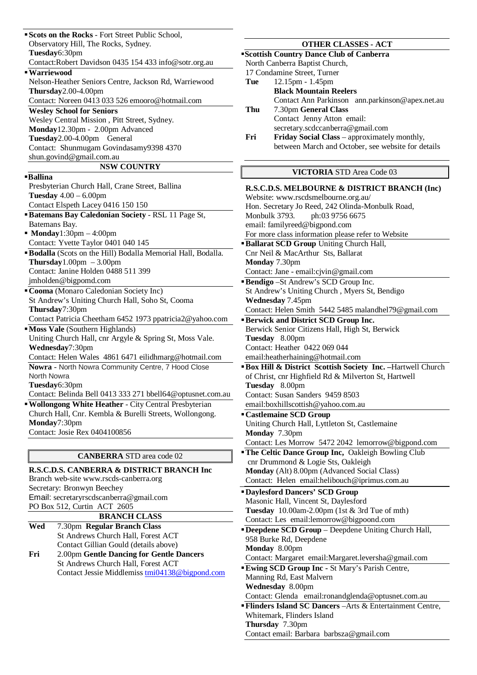**Scots on the Rocks** - Fort Street Public School, Observatory Hill, The Rocks, Sydney. **Tuesday**6:30pm Contact:Robert Davidson 0435 154 433 [info@sotr.org.au](mailto:info@sotr.org.au) **Warriewood**  Nelson-Heather Seniors Centre, Jackson Rd, Warriewood **Thursday**2.00-4.00pm Contact: Noreen 0413 033 526 [emooro@hotmail.com](mailto:emooro@hotmail.com) **Wesley School for Seniors** Wesley Central Mission , Pitt Street, Sydney. **Monday**12.30pm - 2.00pm Advanced **Tuesday**2.00-4.00pm General Contact: Shunmugam Govindasamy9398 4370 [shun.govind@gmail.com.au](mailto:shun.govind@gmail.com.au) **NSW COUNTRY Ballina** Presbyterian Church Hall, Crane Street, Ballina **Tuesday** 4.00 – 6.00pm Contact Elspeth Lacey 0416 150 150 **Batemans Bay Caledonian Society** - RSL 11 Page St, Batemans Bay. **Monday**1:30pm – 4:00pm Contact: Yvette Taylor 0401 040 145 **Bodalla** (Scots on the Hill) Bodalla Memorial Hall, Bodalla. **Thursday**1.00pm – 3.00pm Contact: Janine Holden 0488 511 399 [jmholden@bigpomd.com](mailto:jmholden@bigpomd.com) **Cooma** (Monaro Caledonian Society Inc) St Andrew's Uniting Church Hall, Soho St, Cooma **Thursday**7:30pm Contact Patricia Cheetham 6452 1973 [ppatricia2@yahoo.com](mailto:ppatricia2@yahoo.com) **Moss Vale** (Southern Highlands) Uniting Church Hall, cnr Argyle & Spring St, Moss Vale. **Wednesday**7:30pm Contact: Helen Wales 4861 6471 [eilidhmarg@hotmail.com](mailto:eilidhmarg@hotmail.com) **Nowra** - North Nowra Community Centre, 7 Hood Close North Nowra **Tuesday**6:30pm Contact: Belinda Bell 0413 333 271 [bbell64@optusnet.com.au](mailto:bbell64@optusnet.com.au) **Wollongong White Heather** - City Central Presbyterian Church Hall, Cnr. Kembla & Burelli Streets, Wollongong. **Monday**7:30pm Contact: Josie Rex 0404100856 **CANBERRA** STD area code 02 **R.S.C.D.S. CANBERRA & DISTRICT BRANCH Inc** Branch web-site [www.rscds-canberra.org](http://www.rscds-canberra.org) Secretary: Bronwyn Beechey Email: [secretaryrscdscanberra@gmail.com](mailto:secretaryrscdscanberra@gmail.com) PO Box 512, Curtin ACT 2605 **BRANCH CLASS Wed** 7.30pm **Regular Branch Class**  St Andrews Church Hall, Forest ACT Contact Gillian Gould (details above) **Fri** 2.00pm **Gentle Dancing for Gentle Dancers**  St Andrews Church Hall, Forest ACT Contact Jessie Middlemiss [tmi04138@bigpond.com](mailto:tmi04138@bigpond.com) **OTHER CLASSES - ACT Scottish Country Dance Club of Canberra** North Canberra Baptist Church, 17 Condamine Street, Turner **Tue** 12.15pm - 1.45pm **Black Mountain Reelers**  Contact Ann Parkinson [ann.parkinson@apex.net.au](mailto:ann.parkinson@apex.net.au) **Thu** 7.30pm **General Class** Contact Jenny Atton email: [secretary.scdccanberra@gmail.com](mailto:secretary.scdccanberra@gmail.com) **Fri Friday Social Class** – approximately monthly, between March and October, see website for details **VICTORIA** STD Area Code 03 **R.S.C.D.S. MELBOURNE & DISTRICT BRANCH (Inc)** Website: [www.rscdsmelbourne.org.au/](http://www.rscdsmelbourne.org.au/) Hon. Secretary Jo Reed, 242 Olinda-Monbulk Road, Monbulk 3793. ph:03 9756 6675 email: [familyreed@bigpond.com](mailto:familyreed@bigpond.com) For more class information please refer to Website **Ballarat SCD Group Uniting Church Hall,** Cnr Neil & MacArthur Sts, Ballarat **Monday** 7.30pm Contact: Jane - [email:cjvin@gmail.com](mailto:email:cjvin@gmail.com) **Bendigo** –St Andrew's SCD Group Inc. St Andrew's Uniting Church , Myers St, Bendigo **Wednesday** 7.45pm Contact: Helen Smith 5442 5485 [malandhel79@gmail.com](mailto:malandhel79@gmail.com) **Berwick and District SCD Group Inc.** Berwick Senior Citizens Hall, High St, Berwick **Tuesday** 8.00pm Contact: Heather 0422 069 044 [email:heatherhaining@hotmail.com](mailto:email:heatherhaining@hotmail.com) **Box Hill & District Scottish Society Inc.** –Hartwell Church of Christ, cnr Highfield Rd & Milverton St, Hartwell **Tuesday** 8.00pm Contact: Susan Sanders 9459 8503 [email:boxhillscottish@yahoo.com.au](mailto:email:boxhillscottish@yahoo.com.au) **Castlemaine SCD Group** Uniting Church Hall, Lyttleton St, Castlemaine **Monday** 7.30pm Contact: Les Morrow 5472 2042 [lemorrow@bigpond.com](mailto:lemorrow@bigpond.com) **The Celtic Dance Group Inc.** Oakleigh Bowling Club cnr Drummond & Logie Sts, Oakleigh **Monday** (Alt) 8.00pm (Advanced Social Class) Contact: Helen [email:helibouch@iprimus.com.au](mailto:email:helibouch@iprimus.com.au) **Daylesford Dancers' SCD Group** Masonic Hall, Vincent St, Daylesford **Tuesday** 10.00am-2.00pm (1st & 3rd Tue of mth) Contact: Les [email:lemorrow@bigpoond.com](mailto:email:lemorrow@bigpoond.com) **Deepdene SCD Group** – Deepdene Uniting Church Hall, 958 Burke Rd, Deepdene **Monday** 8.00pm Contact: Margaret [email:Margaret.leversha@gmail.com](mailto:email:Margaret.leversha@gmail.com) **Ewing SCD Group Inc -** St Mary's Parish Centre, Manning Rd, East Malvern **Wednesday** 8.00pm Contact: Glenda [email:ronandglenda@optusnet.com.au](mailto:email:ronandglenda@optusnet.com.au) **Flinders Island SC Dancers** –Arts & Entertainment Centre, Whitemark, Flinders Island

**Thursday** 7.30pm

Contact email: Barbara [barbsza@gmail.com](mailto:barbsza@gmail.com)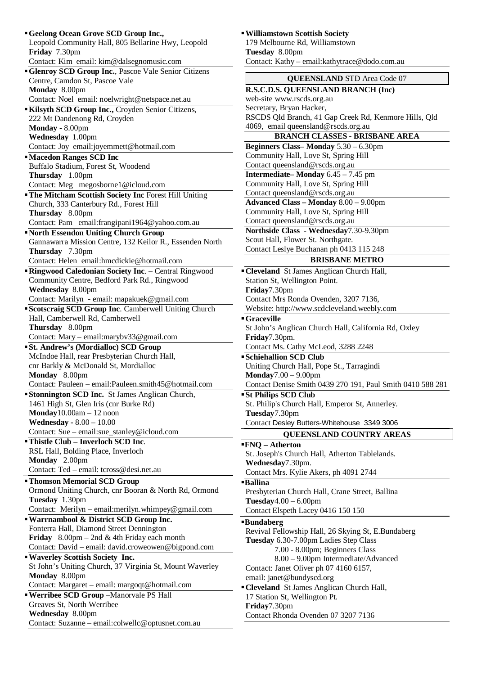| "Geelong Ocean Grove SCD Group Inc.,                                  |
|-----------------------------------------------------------------------|
| Leopold Community Hall, 805 Bellarine Hwy, Leopold                    |
| Friday 7.30pm                                                         |
| Contact: Kim email: kim@dalsegnomusic.com                             |
| Glenroy SCD Group Inc., Pascoe Vale Senior Citizens                   |
| Centre, Camdon St, Pascoe Vale                                        |
| Monday 8.00pm                                                         |
| Contact: Noel email: noelwright@netspace.net.au                       |
| Kilsyth SCD Group Inc., Croyden Senior Citizens,                      |
| 222 Mt Dandenong Rd, Croyden                                          |
| Monday - 8.00pm                                                       |
| Wednesday 1.00pm                                                      |
| Contact: Joy email:joyemmett@hotmail.com                              |
| <b>Macedon Ranges SCD Inc</b>                                         |
| Buffalo Stadium, Forest St, Woodend                                   |
| Thursday 1.00pm                                                       |
| Contact: Meg megosborne1@icloud.com                                   |
| <b>The Mitcham Scottish Society Inc Forest Hill Uniting</b>           |
| Church, 333 Canterbury Rd., Forest Hill                               |
| Thursday 8.00pm                                                       |
| Contact: Pam email: frangipani 1964@yahoo.com.au                      |
| "North Essendon Uniting Church Group                                  |
| Gannawarra Mission Centre, 132 Keilor R., Essenden North              |
| Thursday 7.30pm                                                       |
| Contact: Helen email:hmcdickie@hotmail.com                            |
| "Ringwood Caledonian Society Inc. - Central Ringwood                  |
| Community Centre, Bedford Park Rd., Ringwood                          |
| Wednesday 8.00pm                                                      |
| Contact: Marilyn - email: mapakuek@gmail.com                          |
| Scotscraig SCD Group Inc. Camberwell Uniting Church                   |
| Hall, Camberwell Rd, Camberwell                                       |
| Thursday 8.00pm                                                       |
|                                                                       |
|                                                                       |
| Contact: Mary - email:marybv33@gmail.com                              |
| <b>St. Andrew's (Mordialloc) SCD Group</b>                            |
| McIndoe Hall, rear Presbyterian Church Hall,                          |
| cnr Barkly & McDonald St, Mordialloc                                  |
| Monday 8.00pm                                                         |
| Contact: Pauleen - email: Pauleen.smith45@hotmail.com                 |
| <b>Stonnington SCD Inc.</b> St James Anglican Church,                 |
| 1461 High St, Glen Iris (cnr Burke Rd)                                |
| $\text{Monday}10.00 \text{am} - 12 \text{ noon}$                      |
| <b>Wednesday - 8.00 - 10.00</b>                                       |
| Contact: Sue - email:sue_stanley@icloud.com                           |
| <b>Thistle Club - Inverloch SCD Inc.</b>                              |
| RSL Hall, Bolding Place, Inverloch                                    |
| Monday 2.00pm                                                         |
| Contact: Ted - email: tcross@desi.net.au                              |
| <b>Thomson Memorial SCD Group</b>                                     |
| Ormond Uniting Church, cnr Booran & North Rd, Ormond                  |
| Tuesday 1.30pm                                                        |
| Contact: Merilyn - email:merilyn.whimpey@gmail.com                    |
| "Warrnambool & District SCD Group Inc.                                |
| Fonterra Hall, Diamond Street Dennington                              |
| <b>Friday</b> 8.00pm – 2nd & 4th Friday each month                    |
| Contact: David - email: david.croweowen@bigpond.com                   |
| <b>Waverley Scottish Society Inc.</b>                                 |
| St John's Uniting Church, 37 Virginia St, Mount Waverley              |
| Monday 8.00pm                                                         |
| Contact: Margaret - email: margoqt@hotmail.com                        |
| " Werribee SCD Group -Manorvale PS Hall                               |
| Greaves St, North Werribee                                            |
| Wednesday 8.00pm<br>Contact: Suzanne - email:colwellc@optusnet.com.au |

# **Tuesday** 8.00pm Contact: Kathy – [email:kathytrace@dodo.com.au](mailto:email:kathytrace@dodo.com.au) **QUEENSLAND** STD Area Code 07 **R.S.C.D.S. QUEENSLAND BRANCH (Inc)** web-site [www.rscds.org.au](http://www.rscds.org.au) Secretary, Bryan Hacker, RSCDS Qld Branch, 41 Gap Creek Rd, Kenmore Hills, Qld 4069, email [queensland@rscds.org.au](mailto:queensland@rscds.org.au) **BRANCH CLASSES - BRISBANE AREA Beginners Class– Monday** 5.30 – 6.30pm Community Hall, Love St, Spring Hill Contact [queensland@rscds.org.au](mailto:queensland@rscds.org.au) **Intermediate– Monday** 6.45 – 7.45 pm Community Hall, Love St, Spring Hill Contact [queensland@rscds.org.au](mailto:queensland@rscds.org.au) **Advanced Class – Monday** 8.00 – 9.00pm Community Hall, Love St, Spring Hill Contact [queensland@rscds.org.au](mailto:queensland@rscds.org.au) **Northside Class - Wednesday**7.30-9.30pm Scout Hall, Flower St. Northgate. Contact Leslye Buchanan ph 0413 115 248 **BRISBANE METRO Cleveland** St James Anglican Church Hall, Station St, Wellington Point. **Friday**7.30pm Contact Mrs Ronda Ovenden, 3207 7136, Website:<http://www.scdcleveland.weebly.com> **Graceville**  St John's Anglican Church Hall, California Rd, Oxley **Friday**7.30pm. Contact Ms. Cathy McLeod, 3288 2248 **Schiehallion SCD Club** Uniting Church Hall, Pope St., Tarragindi **Monday**7.00 – 9.00pm Contact Denise Smith 0439 270 191, Paul Smith 0410 588 281 **St Philips SCD Club** St. Philip's Church Hall, Emperor St, Annerley. **Tuesday**7.30pm Contact Desley Butters-Whitehouse 3349 3006 **QUEENSLAND COUNTRY AREAS FNQ – Atherton** St. Joseph's Church Hall, Atherton Tablelands. **Wednesday**7.30pm. Contact Mrs. Kylie Akers, ph 4091 2744 **Ballina** Presbyterian Church Hall, Crane Street, Ballina **Tuesday**4.00 – 6.00pm Contact Elspeth Lacey 0416 150 150 **Bundaberg** Revival Fellowship Hall, 26 Skying St, E.Bundaberg **Tuesday** 6.30-7.00pm Ladies Step Class 7.00 - 8.00pm; Beginners Class 8.00 – 9.00pm Intermediate/Advanced Contact: Janet Oliver ph 07 4160 6157, email: [janet@bundyscd.org](mailto:janet@bundyscd.org) **Cleveland** St James Anglican Church Hall, 17 Station St, Wellington Pt. **Friday**7.30pm Contact Rhonda Ovenden 07 3207 7136

**Williamstown Scottish Society** 179 Melbourne Rd, Williamstown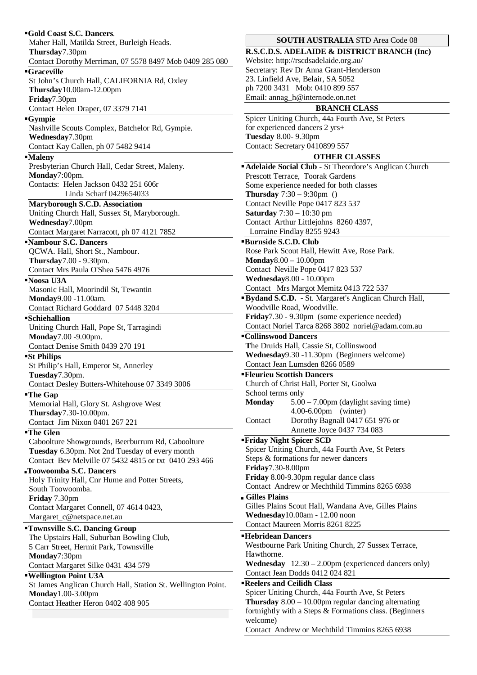| Gold Coast S.C. Dancers.<br>Maher Hall, Matilda Street, Burleigh Heads.                                 | <b>SOUTH AUST</b>                                      |
|---------------------------------------------------------------------------------------------------------|--------------------------------------------------------|
| Thursday7.30pm                                                                                          | <b>R.S.C.D.S. ADELAIDE</b>                             |
| Contact Dorothy Merriman, 07 5578 8497 Mob 0409 285 080                                                 | Website: http://rscdsadel                              |
| <b>Graceville</b>                                                                                       | Secretary: Rev Dr Anna                                 |
| St John's Church Hall, CALIFORNIA Rd, Oxley                                                             | 23. Linfield Ave, Belair,                              |
| Thursday10.00am-12.00pm                                                                                 | ph 7200 3431 Mob: 041<br>Email: annag_h@interno        |
| Friday7.30pm<br>Contact Helen Draper, 07 3379 7141                                                      | <b>BR</b>                                              |
| ■Gympie                                                                                                 | Spicer Uniting Church, 4                               |
| Nashville Scouts Complex, Batchelor Rd, Gympie.                                                         | for experienced dancers 2                              |
| Wednesday7.30pm                                                                                         | <b>Tuesday 8.00-9.30pm</b>                             |
| Contact Kay Callen, ph 07 5482 9414                                                                     | Contact: Secretary 04108                               |
| <b>Maleny</b>                                                                                           | <b>OT</b>                                              |
| Presbyterian Church Hall, Cedar Street, Maleny.                                                         | Adelaide Social Club - :                               |
| Monday7:00pm.                                                                                           | Prescott Terrace, Toorak                               |
| Contacts: Helen Jackson 0432 251 606r<br>Linda Scharf 0429654033                                        | Some experience needed<br>Thursday $7:30 - 9:30$ pn    |
| Maryborough S.C.D. Association                                                                          | Contact Neville Pope 04                                |
| Uniting Church Hall, Sussex St, Maryborough.                                                            | <b>Saturday</b> $7:30 - 10:30$ p                       |
| Wednesday7.00pm                                                                                         | Contact Arthur Littlejoh                               |
| Contact Margaret Narracott, ph 07 4121 7852                                                             | Lorraine Findlay 8255                                  |
| "Nambour S.C. Dancers                                                                                   | <b>Burnside S.C.D. Club</b>                            |
| QCWA. Hall, Short St., Nambour.                                                                         | Rose Park Scout Hall, He                               |
| Thursday7.00 - 9.30pm.                                                                                  | $\textbf{Monday8.00} - 10.00 \text{pm}$                |
| Contact Mrs Paula O'Shea 5476 4976<br>Noosa U3A                                                         | Contact Neville Pope 04<br>Wednesday8.00 - 10.00       |
| Masonic Hall, Moorindil St, Tewantin                                                                    | Contact Mrs Margot Me                                  |
| Monday9.00 -11.00am.                                                                                    | Bydand S.C.D. - St. Ma                                 |
| Contact Richard Goddard 07 5448 3204                                                                    | Woodville Road, Woodv                                  |
| <b>Schiehallion</b>                                                                                     | <b>Friday</b> 7.30 - 9.30pm (so                        |
| Uniting Church Hall, Pope St, Tarragindi                                                                | Contact Noriel Tarca 826                               |
| Monday7.00 -9.00pm.                                                                                     | <b>"Collinswood Dancers</b>                            |
| Contact Denise Smith 0439 270 191                                                                       | The Druids Hall, Cassie                                |
| "St Philips                                                                                             | Wednesday9.30 -11.30p<br>Contact Jean Lumsden 8        |
| St Philip's Hall, Emperor St, Annerley<br>Tuesday7.30pm.                                                | <b>"Fleurieu Scottish Dance</b>                        |
| Contact Desley Butters-Whitehouse 07 3349 3006                                                          | Church of Christ Hall, Po                              |
| "The Gap                                                                                                | School terms only                                      |
| Memorial Hall, Glory St. Ashgrove West                                                                  | <b>Monday</b><br>$5.00 - 7.00$                         |
| Thursday7.30-10.00pm.                                                                                   | 4.00-6.00p                                             |
| Contact Jim Nixon 0401 267 221                                                                          | Dorothy B<br>Contact                                   |
| ■The Glen                                                                                               | Annette Jo<br><b>Friday Night Spicer SC</b>            |
| Caboolture Showgrounds, Beerburrum Rd, Caboolture                                                       | Spicer Uniting Church, 4                               |
| Tuesday 6.30pm. Not 2nd Tuesday of every month<br>Contact Bev Melville 07 5432 4815 or txt 0410 293 466 | Steps & formations for n                               |
| <b>Toowoomba S.C. Dancers</b>                                                                           | Friday7.30-8.00pm                                      |
| Holy Trinity Hall, Cnr Hume and Potter Streets,                                                         | Friday 8.00-9.30pm regu                                |
| South Toowoomba.                                                                                        | Contact Andrew or Mec                                  |
| Friday 7.30pm                                                                                           | Gilles Plains                                          |
| Contact Margaret Connell, 07 4614 0423,                                                                 | Gilles Plains Scout Hall,                              |
| Margaret_c@netspace.net.au                                                                              | Wednesday10.00am - 12<br><b>Contact Maureen Morris</b> |
| "Townsville S.C. Dancing Group                                                                          |                                                        |
| The Upstairs Hall, Suburban Bowling Club,                                                               | <b>Hebridean Dancers</b><br>Westbourne Park Uniting    |
| 5 Carr Street, Hermit Park, Townsville<br>Monday7:30pm                                                  | Hawthorne.                                             |
| Contact Margaret Silke 0431 434 579                                                                     | <b>Wednesday</b> $12.30 - 2.0$                         |
| <b>Wellington Point U3A</b>                                                                             | Contact Jean Dodds 0412                                |
| St James Anglican Church Hall, Station St. Wellington Point.                                            | <b>Reelers and Ceilidh Cla</b>                         |
| <b>Monday</b> 1.00-3.00pm                                                                               | Spicer Uniting Church, 4                               |
| Contact Heather Heron 0402 408 905                                                                      | <b>Thursday</b> $8.00 - 10.00p$                        |
|                                                                                                         | fortnightly with a Steps &                             |
|                                                                                                         | welcome)                                               |

# **TRALIA STD Area Code 08**

**R. & DISTRICT BRANCH (Inc)** laide.org.au/ Grant-Henderson SA 5052 10 899 557 bde.on.net

# **BRANCH CLASS**

44a Fourth Ave, St Peters  $2 \text{ yrs}+$ 899 557

# **THER CLASSES**

|                                            | " Adelaide Social Club - St Theordore's Anglican Church              |  |
|--------------------------------------------|----------------------------------------------------------------------|--|
|                                            | Prescott Terrace, Toorak Gardens                                     |  |
|                                            | Some experience needed for both classes                              |  |
| <b>Thursday</b> $7:30 - 9:30$ pm ()        |                                                                      |  |
| Contact Neville Pope 0417 823 537          |                                                                      |  |
|                                            | <b>Saturday</b> 7:30 - 10:30 pm                                      |  |
|                                            | Contact Arthur Littlejohns 8260 4397,                                |  |
|                                            | Lorraine Findlay 8255 9243                                           |  |
| <b>Burnside S.C.D. Club</b>                |                                                                      |  |
|                                            | Rose Park Scout Hall, Hewitt Ave, Rose Park.                         |  |
| $\textbf{Monday}8.00-10.00 \text{pm}$      |                                                                      |  |
|                                            | Contact Neville Pope 0417 823 537                                    |  |
|                                            | <b>Wednesday</b> 8.00 - 10.00pm                                      |  |
|                                            | Contact Mrs Margot Memitz 0413 722 537                               |  |
|                                            | "Bydand S.C.D. - St. Margaret's Anglican Church Hall,                |  |
|                                            | Woodville Road, Woodville.                                           |  |
|                                            | Friday7.30 - 9.30pm (some experience needed)                         |  |
|                                            | Contact Noriel Tarca 8268 3802 noriel@adam.com.au                    |  |
| <b>"Collinswood Dancers</b>                |                                                                      |  |
|                                            | The Druids Hall, Cassie St, Collinswood                              |  |
| Wednesday9.30 -11.30pm (Beginners welcome) |                                                                      |  |
|                                            | Contact Jean Lumsden 8266 0589                                       |  |
|                                            | <b>"Fleurieu Scottish Dancers</b>                                    |  |
|                                            | Church of Christ Hall, Porter St, Goolwa                             |  |
| School terms only                          |                                                                      |  |
|                                            |                                                                      |  |
|                                            |                                                                      |  |
| <b>Monday</b>                              | $5.00 - 7.00$ pm (daylight saving time)                              |  |
|                                            | 4.00-6.00pm (winter)                                                 |  |
| Contact                                    | Dorothy Bagnall 0417 651 976 or                                      |  |
|                                            | Annette Joyce 0437 734 083                                           |  |
| <b>"Friday Night Spicer SCD</b>            |                                                                      |  |
|                                            | Spicer Uniting Church, 44a Fourth Ave, St Peters                     |  |
|                                            | Steps & formations for newer dancers                                 |  |
| Friday7.30-8.00pm                          |                                                                      |  |
|                                            | Friday 8.00-9.30pm regular dance class                               |  |
|                                            | Contact Andrew or Mechthild Timmins 8265 6938                        |  |
| Gilles Plains                              |                                                                      |  |
|                                            | Gilles Plains Scout Hall, Wandana Ave, Gilles Plains                 |  |
|                                            | Wednesday10.00am - 12.00 noon                                        |  |
|                                            | Contact Maureen Morris 8261 8225                                     |  |
| <b>Hebridean Dancers</b>                   |                                                                      |  |
|                                            | Westbourne Park Uniting Church, 27 Sussex Terrace,                   |  |
| Hawthorne.                                 |                                                                      |  |
|                                            | <b>Wednesday</b> $12.30 - 2.00 \text{pm}$ (experienced dancers only) |  |
|                                            | Contact Jean Dodds 0412 024 821                                      |  |
|                                            | <b>Reelers and Ceilidh Class</b>                                     |  |
|                                            | Spicer Uniting Church, 44a Fourth Ave, St Peters                     |  |
|                                            | <b>Thursday</b> $8.00 - 10.00$ pm regular dancing alternating        |  |
|                                            | fortnightly with a Steps & Formations class. (Beginners              |  |
| welcome)                                   | Contact Andrew or Mechthild Timmins 8265 6938                        |  |